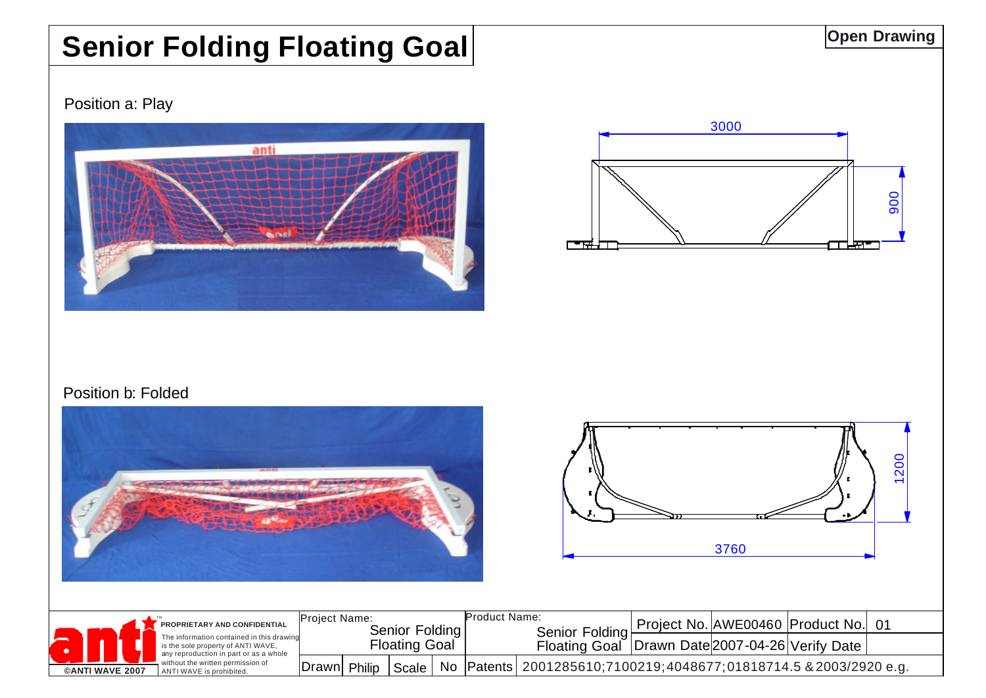## **Senior Folding Floating Goal**

Position a: Play





## Position b: Folded





|                        | PROPRIETARY AND CONFIDENTIAL<br>The information contained in this drawind<br>is the sole property of ANTI WAVE,<br>any reproduction in part or as a whole<br>without the written permission of<br>ANTI WAVE is prohibited. | <b>Proiect Name:</b><br>Senior Folding<br>Floating Goal |        |       |  | Product Name: | Senior Folding<br><b>Floating Goal</b>                                |  | Project No. AWE00460 Product No. 01<br><b>Drawn Date 2007-04-26 Verify Date</b> |  |
|------------------------|----------------------------------------------------------------------------------------------------------------------------------------------------------------------------------------------------------------------------|---------------------------------------------------------|--------|-------|--|---------------|-----------------------------------------------------------------------|--|---------------------------------------------------------------------------------|--|
| <b>CANTI WAVE 2007</b> |                                                                                                                                                                                                                            | Drawn                                                   | Philip | Scale |  |               | No   Patents   2001285610;7100219;4048677;01818714.5 & 2003/2920 e.g. |  |                                                                                 |  |

**Open Drawing**